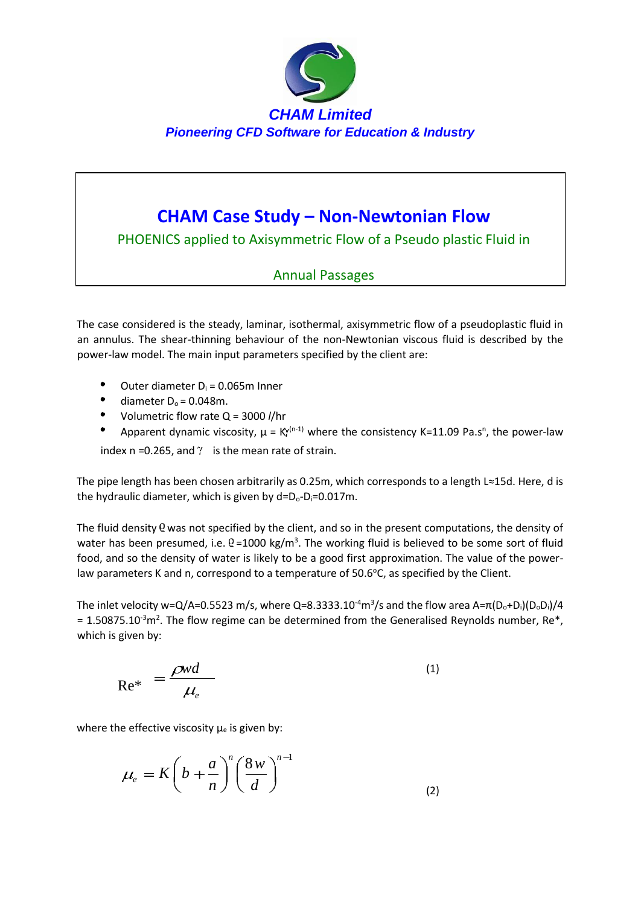

# **CHAM Case Study – Non-Newtonian Flow**

PHOENICS applied to Axisymmetric Flow of a Pseudo plastic Fluid in

## Annual Passages

The case considered is the steady, laminar, isothermal, axisymmetric flow of a pseudoplastic fluid in an annulus. The shear-thinning behaviour of the non-Newtonian viscous fluid is described by the power-law model. The main input parameters specified by the client are:

- Outer diameter  $D_i = 0.065$ m Inner
- diameter  $D_0 = 0.048$ m.
- Volumetric flow rate Q = 3000 *l*/hr
- Apparent dynamic viscosity,  $\mu = K^{(n-1)}$  where the consistency K=11.09 Pa.s<sup>n</sup>, the power-law

index n =0.265, and  $\gamma$  is the mean rate of strain.

The pipe length has been chosen arbitrarily as 0.25m, which corresponds to a length L≈15d. Here, d is the hydraulic diameter, which is given by  $d=D_0-D_i=0.017$ m.

The fluid density Q was not specified by the client, and so in the present computations, the density of water has been presumed, i.e.  $Q = 1000$  kg/m<sup>3</sup>. The working fluid is believed to be some sort of fluid food, and so the density of water is likely to be a good first approximation. The value of the powerlaw parameters K and n, correspond to a temperature of  $50.6^{\circ}$ C, as specified by the Client.

The inlet velocity w=Q/A=0.5523 m/s, where Q=8.3333.10<sup>-4</sup>m<sup>3</sup>/s and the flow area A=π(D<sub>o</sub>+D<sub>i</sub>)(D<sub>o</sub>D<sub>i</sub>)/4  $= 1.50875.10^{-3}$ m<sup>2</sup>. The flow regime can be determined from the Generalised Reynolds number, Re\*, which is given by:

$$
Re^* = \frac{\rho w d}{\mu_e} \tag{1}
$$

where the effective viscosity  $\mu_e$  is given by:

$$
\mu_e = K \left( b + \frac{a}{n} \right)^n \left( \frac{8w}{d} \right)^{n-1}
$$
\n(2)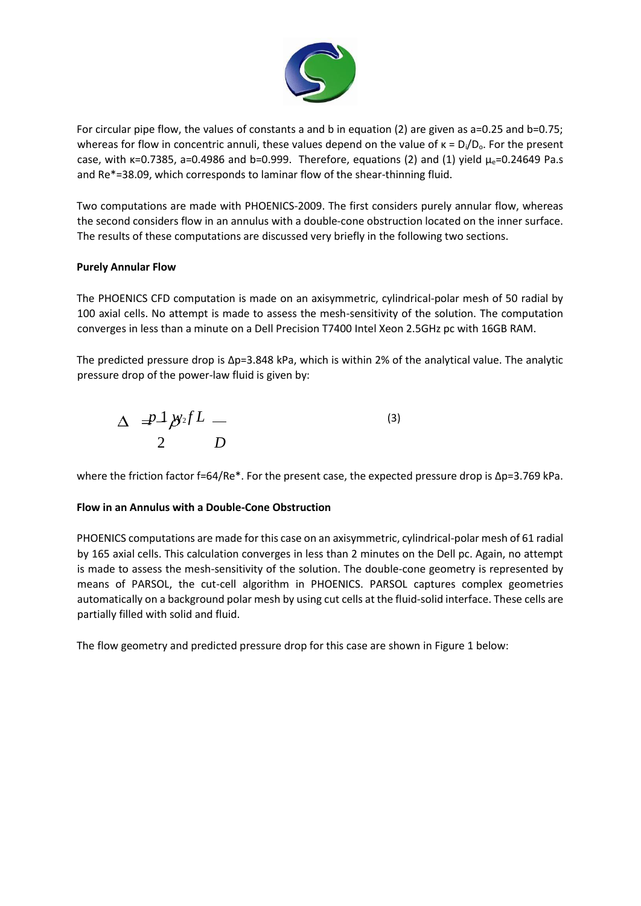

For circular pipe flow, the values of constants a and b in equation (2) are given as a=0.25 and b=0.75; whereas for flow in concentric annuli, these values depend on the value of  $\kappa = D_i/D_o$ . For the present case, with  $\kappa$ =0.7385, a=0.4986 and b=0.999. Therefore, equations (2) and (1) yield  $\mu$ <sub>e</sub>=0.24649 Pa.s and Re\*=38.09, which corresponds to laminar flow of the shear-thinning fluid.

Two computations are made with PHOENICS-2009. The first considers purely annular flow, whereas the second considers flow in an annulus with a double-cone obstruction located on the inner surface. The results of these computations are discussed very briefly in the following two sections.

### **Purely Annular Flow**

The PHOENICS CFD computation is made on an axisymmetric, cylindrical-polar mesh of 50 radial by 100 axial cells. No attempt is made to assess the mesh-sensitivity of the solution. The computation converges in less than a minute on a Dell Precision T7400 Intel Xeon 2.5GHz pc with 16GB RAM.

The predicted pressure drop is  $\Delta p=3.848$  kPa, which is within 2% of the analytical value. The analytic pressure drop of the power-law fluid is given by:

$$
\Delta = \frac{p\Delta}{2} \frac{p\Delta f}{D}
$$
 (3)

where the friction factor f=64/Re\*. For the present case, the expected pressure drop is Δp=3.769 kPa.

### **Flow in an Annulus with a Double-Cone Obstruction**

PHOENICS computations are made for this case on an axisymmetric, cylindrical-polar mesh of 61 radial by 165 axial cells. This calculation converges in less than 2 minutes on the Dell pc. Again, no attempt is made to assess the mesh-sensitivity of the solution. The double-cone geometry is represented by means of PARSOL, the cut-cell algorithm in PHOENICS. PARSOL captures complex geometries automatically on a background polar mesh by using cut cells at the fluid-solid interface. These cells are partially filled with solid and fluid.

The flow geometry and predicted pressure drop for this case are shown in Figure 1 below: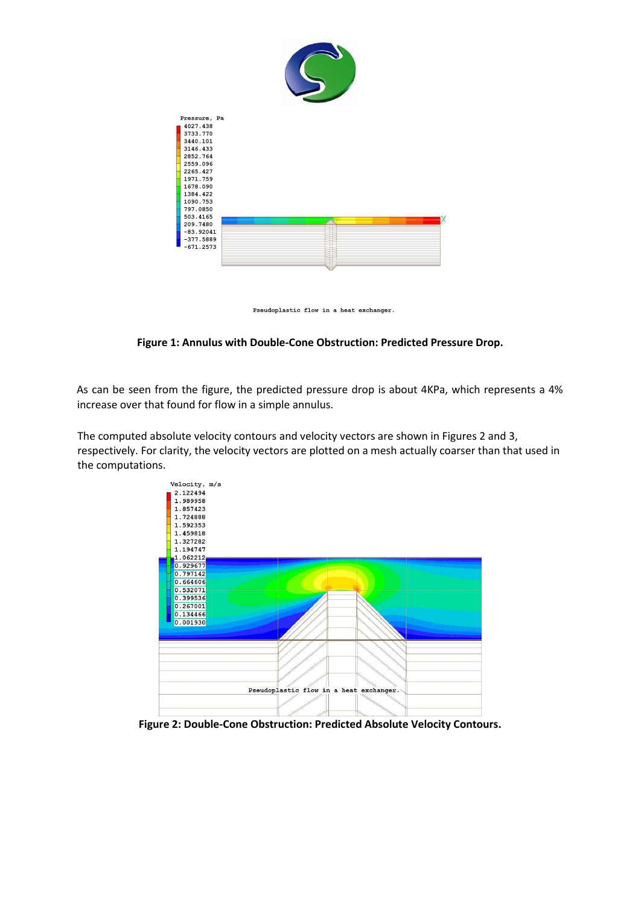

Pseudoplastic flow in a heat exchanger.

#### **Figure 1: Annulus with Double-Cone Obstruction: Predicted Pressure Drop.**

As can be seen from the figure, the predicted pressure drop is about 4KPa, which represents a 4% increase over that found for flow in a simple annulus.

The computed absolute velocity contours and velocity vectors are shown in Figures 2 and 3, respectively. For clarity, the velocity vectors are plotted on a mesh actually coarser than that used in the computations.



**Figure 2: Double-Cone Obstruction: Predicted Absolute Velocity Contours.**